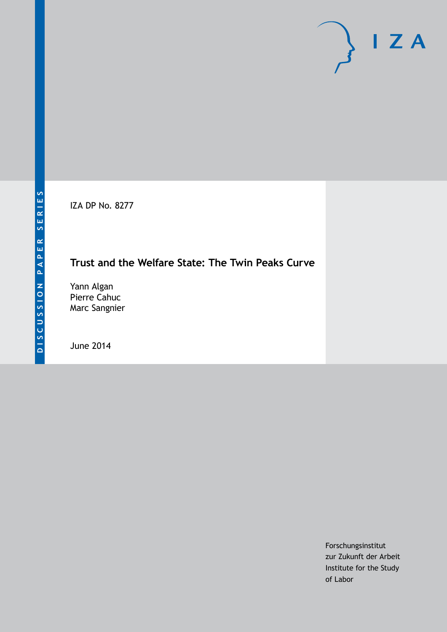IZA DP No. 8277

# **Trust and the Welfare State: The Twin Peaks Curve**

Yann Algan Pierre Cahuc Marc Sangnier

June 2014

Forschungsinstitut zur Zukunft der Arbeit Institute for the Study of Labor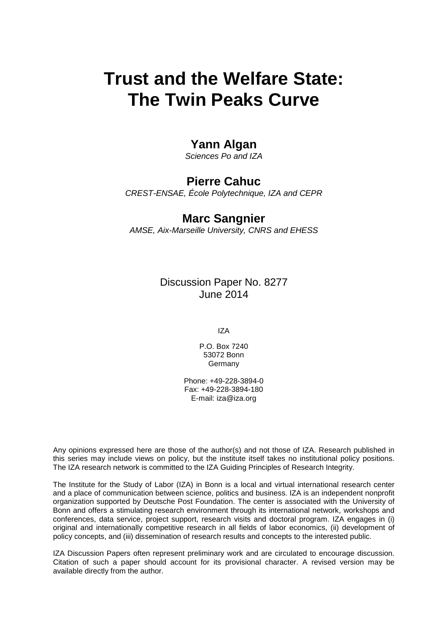# **Trust and the Welfare State: The Twin Peaks Curve**

# **Yann Algan**

*Sciences Po and IZA*

### **Pierre Cahuc**

*CREST-ENSAE, École Polytechnique, IZA and CEPR*

### **Marc Sangnier**

*AMSE, Aix-Marseille University, CNRS and EHESS*

Discussion Paper No. 8277 June 2014

IZA

P.O. Box 7240 53072 Bonn Germany

Phone: +49-228-3894-0 Fax: +49-228-3894-180 E-mail: [iza@iza.org](mailto:iza@iza.org)

Any opinions expressed here are those of the author(s) and not those of IZA. Research published in this series may include views on policy, but the institute itself takes no institutional policy positions. The IZA research network is committed to the IZA Guiding Principles of Research Integrity.

The Institute for the Study of Labor (IZA) in Bonn is a local and virtual international research center and a place of communication between science, politics and business. IZA is an independent nonprofit organization supported by Deutsche Post Foundation. The center is associated with the University of Bonn and offers a stimulating research environment through its international network, workshops and conferences, data service, project support, research visits and doctoral program. IZA engages in (i) original and internationally competitive research in all fields of labor economics, (ii) development of policy concepts, and (iii) dissemination of research results and concepts to the interested public.

<span id="page-1-0"></span>IZA Discussion Papers often represent preliminary work and are circulated to encourage discussion. Citation of such a paper should account for its provisional character. A revised version may be available directly from the author.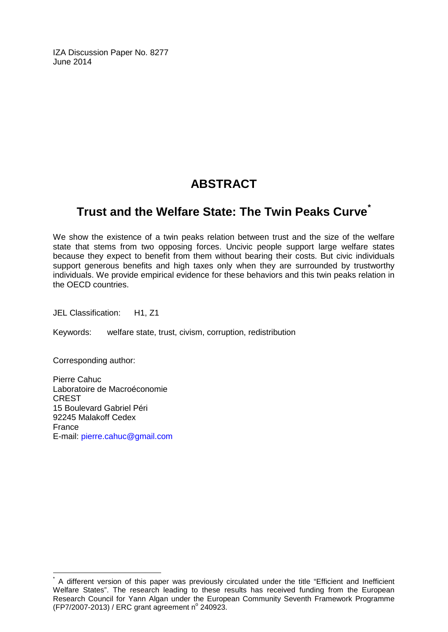IZA Discussion Paper No. 8277 June 2014

# **ABSTRACT**

# **Trust and the Welfare State: The Twin Peaks Curve[\\*](#page-1-0)**

We show the existence of a twin peaks relation between trust and the size of the welfare state that stems from two opposing forces. Uncivic people support large welfare states because they expect to benefit from them without bearing their costs. But civic individuals support generous benefits and high taxes only when they are surrounded by trustworthy individuals. We provide empirical evidence for these behaviors and this twin peaks relation in the OECD countries.

JEL Classification: H1, Z1

Keywords: welfare state, trust, civism, corruption, redistribution

Corresponding author:

Pierre Cahuc Laboratoire de Macroéconomie **CREST** 15 Boulevard Gabriel Péri 92245 Malakoff Cedex France E-mail: [pierre.cahuc@gmail.com](mailto:pierre.cahuc@gmail.com)

A different version of this paper was previously circulated under the title "Efficient and Inefficient Welfare States". The research leading to these results has received funding from the European Research Council for Yann Algan under the European Community Seventh Framework Programme  $(FP7/2007-2013)$  / ERC grant agreement n° 240923.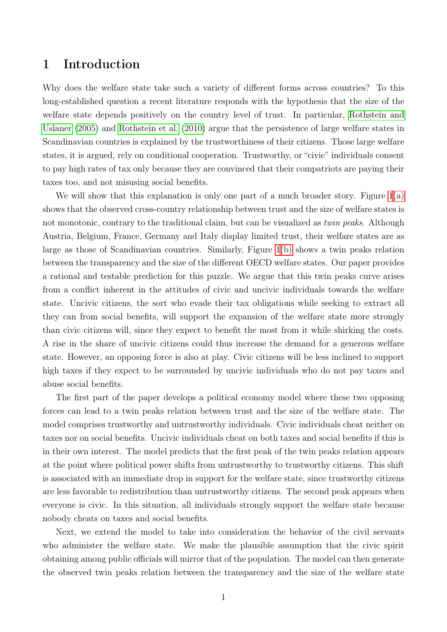# 1 Introduction

Why does the welfare state take such a variety of different forms across countries? To this long-established question a recent literature responds with the hypothesis that the size of the welfare state depends positively on the country level of trust. In particular, [Rothstein and](#page-19-0) [Uslaner](#page-19-0) [\(2005\)](#page-19-0) and [Rothstein et al.](#page-19-1) [\(2010\)](#page-19-1) argue that the persistence of large welfare states in Scandinavian countries is explained by the trustworthiness of their citizens. Those large welfare states, it is argued, rely on conditional cooperation. Trustworthy, or "civic" individuals consent to pay high rates of tax only because they are convinced that their compatriots are paying their taxes too, and not misusing social benefits.

We will show that this explanation is only one part of a much broader story. Figure  $1(a)$  $1(a)$ shows that the observed cross-country relationship between trust and the size of welfare states is not monotonic, contrary to the traditional claim, but can be visualized as *twin peaks*. Although Austria, Belgium, France, Germany and Italy display limited trust, their welfare states are as large as those of Scandinavian countries. Similarly, Figure [1](#page-20-0)[\(b\)](#page-20-2) shows a twin peaks relation between the transparency and the size of the different OECD welfare states. Our paper provides a rational and testable prediction for this puzzle. We argue that this twin peaks curve arises from a conflict inherent in the attitudes of civic and uncivic individuals towards the welfare state. Uncivic citizens, the sort who evade their tax obligations while seeking to extract all they can from social benefits, will support the expansion of the welfare state more strongly than civic citizens will, since they expect to benefit the most from it while shirking the costs. A rise in the share of uncivic citizens could thus increase the demand for a generous welfare state. However, an opposing force is also at play. Civic citizens will be less inclined to support high taxes if they expect to be surrounded by uncivic individuals who do not pay taxes and abuse social benefits.

The first part of the paper develops a political economy model where these two opposing forces can lead to a twin peaks relation between trust and the size of the welfare state. The model comprises trustworthy and untrustworthy individuals. Civic individuals cheat neither on taxes nor on social benefits. Uncivic individuals cheat on both taxes and social benefits if this is in their own interest. The model predicts that the first peak of the twin peaks relation appears at the point where political power shifts from untrustworthy to trustworthy citizens. This shift is associated with an immediate drop in support for the welfare state, since trustworthy citizens are less favorable to redistribution than untrustworthy citizens. The second peak appears when everyone is civic. In this situation, all individuals strongly support the welfare state because nobody cheats on taxes and social benefits.

Next, we extend the model to take into consideration the behavior of the civil servants who administer the welfare state. We make the plausible assumption that the civic spirit obtaining among public officials will mirror that of the population. The model can then generate the observed twin peaks relation between the transparency and the size of the welfare state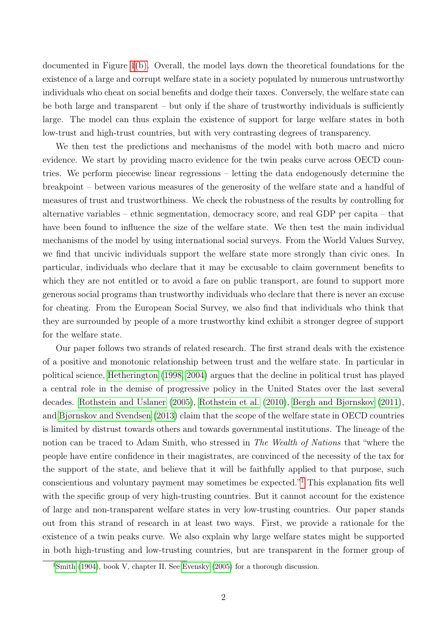documented in Figure [1](#page-20-0)[\(b\).](#page-20-2) Overall, the model lays down the theoretical foundations for the existence of a large and corrupt welfare state in a society populated by numerous untrustworthy individuals who cheat on social benefits and dodge their taxes. Conversely, the welfare state can be both large and transparent – but only if the share of trustworthy individuals is sufficiently large. The model can thus explain the existence of support for large welfare states in both low-trust and high-trust countries, but with very contrasting degrees of transparency.

We then test the predictions and mechanisms of the model with both macro and micro evidence. We start by providing macro evidence for the twin peaks curve across OECD countries. We perform piecewise linear regressions – letting the data endogenously determine the breakpoint – between various measures of the generosity of the welfare state and a handful of measures of trust and trustworthiness. We check the robustness of the results by controlling for alternative variables – ethnic segmentation, democracy score, and real GDP per capita – that have been found to influence the size of the welfare state. We then test the main individual mechanisms of the model by using international social surveys. From the World Values Survey, we find that uncivic individuals support the welfare state more strongly than civic ones. In particular, individuals who declare that it may be excusable to claim government benefits to which they are not entitled or to avoid a fare on public transport, are found to support more generous social programs than trustworthy individuals who declare that there is never an excuse for cheating. From the European Social Survey, we also find that individuals who think that they are surrounded by people of a more trustworthy kind exhibit a stronger degree of support for the welfare state.

Our paper follows two strands of related research. The first strand deals with the existence of a positive and monotonic relationship between trust and the welfare state. In particular in political science, [Hetherington](#page-18-0) [\(1998,](#page-18-0) [2004\)](#page-18-1) argues that the decline in political trust has played a central role in the demise of progressive policy in the United States over the last several decades. [Rothstein and Uslaner](#page-19-0) [\(2005\)](#page-19-0), [Rothstein et al.](#page-19-1) [\(2010\)](#page-19-1), [Bergh and Bjørnskov](#page-17-0) [\(2011\)](#page-17-0), and [Bjørnskov and Svendsen](#page-17-1) [\(2013\)](#page-17-1) claim that the scope of the welfare state in OECD countries is limited by distrust towards others and towards governmental institutions. The lineage of the notion can be traced to Adam Smith, who stressed in The Wealth of Nations that "where the people have entire confidence in their magistrates, are convinced of the necessity of the tax for the support of the state, and believe that it will be faithfully applied to that purpose, such conscientious and voluntary payment may sometimes be expected."<sup>[1](#page-4-0)</sup> This explanation fits well with the specific group of very high-trusting countries. But it cannot account for the existence of large and non-transparent welfare states in very low-trusting countries. Our paper stands out from this strand of research in at least two ways. First, we provide a rationale for the existence of a twin peaks curve. We also explain why large welfare states might be supported in both high-trusting and low-trusting countries, but are transparent in the former group of

<span id="page-4-0"></span><sup>&</sup>lt;sup>1</sup>[Smith](#page-19-2) [\(1904\)](#page-19-2), book V, chapter II. See [Evensky](#page-18-2) [\(2005\)](#page-18-2) for a thorough discussion.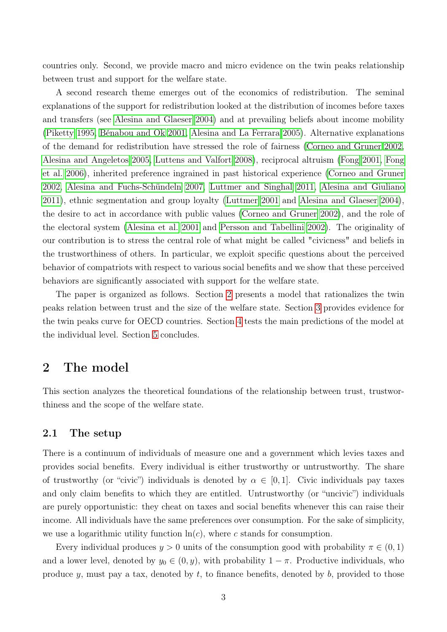countries only. Second, we provide macro and micro evidence on the twin peaks relationship between trust and support for the welfare state.

A second research theme emerges out of the economics of redistribution. The seminal explanations of the support for redistribution looked at the distribution of incomes before taxes and transfers (see [Alesina and Glaeser 2004\)](#page-17-2) and at prevailing beliefs about income mobility [\(Piketty 1995,](#page-19-3) [Bénabou and Ok 2001,](#page-17-3) [Alesina and La Ferrara 2005\)](#page-17-4). Alternative explanations of the demand for redistribution have stressed the role of fairness [\(Corneo and Gruner 2002,](#page-18-3) [Alesina and Angeletos 2005,](#page-17-5) [Luttens and Valfort 2008\)](#page-18-4), reciprocal altruism [\(Fong 2001,](#page-18-5) [Fong](#page-18-6) [et al. 2006\)](#page-18-6), inherited preference ingrained in past historical experience [\(Corneo and Gruner](#page-18-3) [2002,](#page-18-3) [Alesina and Fuchs-Schündeln 2007,](#page-17-6) [Luttmer and Singhal 2011,](#page-19-4) [Alesina and Giuliano](#page-17-7) [2011\)](#page-17-7), ethnic segmentation and group loyalty [\(Luttmer 2001](#page-18-7) and [Alesina and Glaeser 2004\)](#page-17-2), the desire to act in accordance with public values [\(Corneo and Gruner 2002\)](#page-18-3), and the role of the electoral system [\(Alesina et al. 2001](#page-17-8) and [Persson and Tabellini 2002\)](#page-19-5). The originality of our contribution is to stress the central role of what might be called "civicness" and beliefs in the trustworthiness of others. In particular, we exploit specific questions about the perceived behavior of compatriots with respect to various social benefits and we show that these perceived behaviors are significantly associated with support for the welfare state.

The paper is organized as follows. Section [2](#page-5-0) presents a model that rationalizes the twin peaks relation between trust and the size of the welfare state. Section [3](#page-9-0) provides evidence for the twin peaks curve for OECD countries. Section [4](#page-12-0) tests the main predictions of the model at the individual level. Section [5](#page-16-0) concludes.

# <span id="page-5-0"></span>2 The model

This section analyzes the theoretical foundations of the relationship between trust, trustworthiness and the scope of the welfare state.

#### 2.1 The setup

There is a continuum of individuals of measure one and a government which levies taxes and provides social benefits. Every individual is either trustworthy or untrustworthy. The share of trustworthy (or "civic") individuals is denoted by  $\alpha \in [0,1]$ . Civic individuals pay taxes and only claim benefits to which they are entitled. Untrustworthy (or "uncivic") individuals are purely opportunistic: they cheat on taxes and social benefits whenever this can raise their income. All individuals have the same preferences over consumption. For the sake of simplicity, we use a logarithmic utility function  $\ln(c)$ , where c stands for consumption.

Every individual produces  $y > 0$  units of the consumption good with probability  $\pi \in (0,1)$ and a lower level, denoted by  $y_0 \in (0, y)$ , with probability  $1 - \pi$ . Productive individuals, who produce  $y$ , must pay a tax, denoted by  $t$ , to finance benefits, denoted by  $b$ , provided to those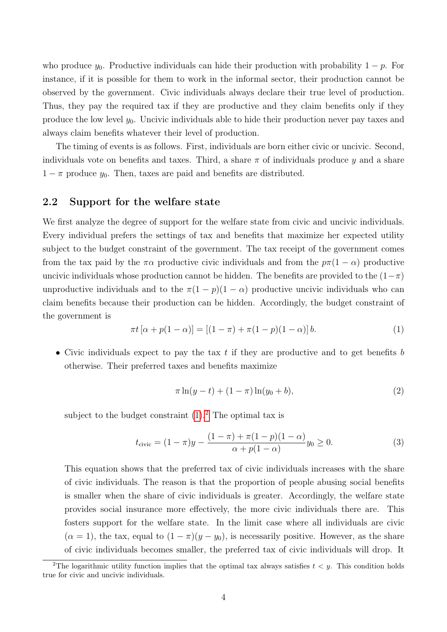who produce  $y_0$ . Productive individuals can hide their production with probability  $1 - p$ . For instance, if it is possible for them to work in the informal sector, their production cannot be observed by the government. Civic individuals always declare their true level of production. Thus, they pay the required tax if they are productive and they claim benefits only if they produce the low level  $y_0$ . Uncivic individuals able to hide their production never pay taxes and always claim benefits whatever their level of production.

The timing of events is as follows. First, individuals are born either civic or uncivic. Second, individuals vote on benefits and taxes. Third, a share  $\pi$  of individuals produce y and a share  $1 - \pi$  produce  $y_0$ . Then, taxes are paid and benefits are distributed.

#### 2.2 Support for the welfare state

We first analyze the degree of support for the welfare state from civic and uncivic individuals. Every individual prefers the settings of tax and benefits that maximize her expected utility subject to the budget constraint of the government. The tax receipt of the government comes from the tax paid by the  $\pi\alpha$  productive civic individuals and from the  $p\pi(1-\alpha)$  productive uncivic individuals whose production cannot be hidden. The benefits are provided to the  $(1-\pi)$ unproductive individuals and to the  $\pi(1-p)(1-\alpha)$  productive uncivic individuals who can claim benefits because their production can be hidden. Accordingly, the budget constraint of the government is

<span id="page-6-0"></span>
$$
\pi t \left[ \alpha + p(1 - \alpha) \right] = \left[ (1 - \pi) + \pi (1 - p)(1 - \alpha) \right] b. \tag{1}
$$

• Civic individuals expect to pay the tax  $t$  if they are productive and to get benefits  $b$ otherwise. Their preferred taxes and benefits maximize

<span id="page-6-2"></span>
$$
\pi \ln(y - t) + (1 - \pi) \ln(y_0 + b),\tag{2}
$$

subject to the budget constraint  $(1)$ .<sup>[2](#page-6-1)</sup> The optimal tax is

$$
t_{\text{civic}} = (1 - \pi)y - \frac{(1 - \pi) + \pi(1 - p)(1 - \alpha)}{\alpha + p(1 - \alpha)}y_0 \ge 0.
$$
 (3)

This equation shows that the preferred tax of civic individuals increases with the share of civic individuals. The reason is that the proportion of people abusing social benefits is smaller when the share of civic individuals is greater. Accordingly, the welfare state provides social insurance more effectively, the more civic individuals there are. This fosters support for the welfare state. In the limit case where all individuals are civic  $(\alpha = 1)$ , the tax, equal to  $(1 - \pi)(y - y_0)$ , is necessarily positive. However, as the share of civic individuals becomes smaller, the preferred tax of civic individuals will drop. It

<span id="page-6-1"></span><sup>&</sup>lt;sup>2</sup>The logarithmic utility function implies that the optimal tax always satisfies  $t < y$ . This condition holds true for civic and uncivic individuals.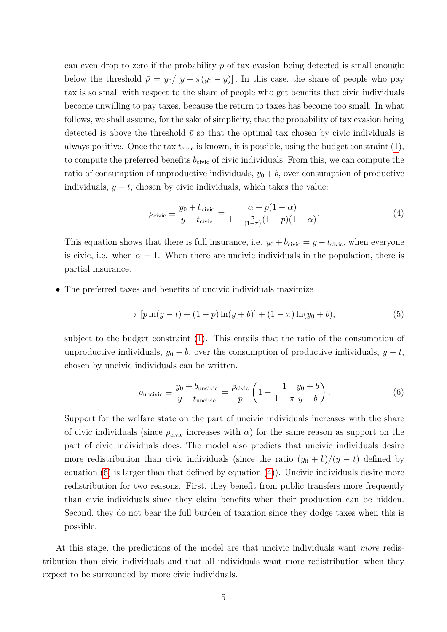can even drop to zero if the probability  $p$  of tax evasion being detected is small enough: below the threshold  $\bar{p} = y_0/[y + \pi(y_0 - y)]$ . In this case, the share of people who pay tax is so small with respect to the share of people who get benefits that civic individuals become unwilling to pay taxes, because the return to taxes has become too small. In what follows, we shall assume, for the sake of simplicity, that the probability of tax evasion being detected is above the threshold  $\bar{p}$  so that the optimal tax chosen by civic individuals is always positive. Once the tax  $t_{\rm{}circ}$  is known, it is possible, using the budget constraint [\(1\)](#page-6-0), to compute the preferred benefits  $b_{\rm{}c\rm{}iv\rm{}ic}$  of civic individuals. From this, we can compute the ratio of consumption of unproductive individuals,  $y_0 + b$ , over consumption of productive individuals,  $y - t$ , chosen by civic individuals, which takes the value:

<span id="page-7-1"></span>
$$
\rho_{\text{civic}} \equiv \frac{y_0 + b_{\text{civic}}}{y - t_{\text{civic}}} = \frac{\alpha + p(1 - \alpha)}{1 + \frac{\pi}{(1 - \pi)}(1 - p)(1 - \alpha)}.
$$
\n(4)

This equation shows that there is full insurance, i.e.  $y_0 + b_{\text{civic}} = y - t_{\text{civic}}$ , when everyone is civic, i.e. when  $\alpha = 1$ . When there are uncivic individuals in the population, there is partial insurance.

• The preferred taxes and benefits of uncivic individuals maximize

<span id="page-7-2"></span>
$$
\pi \left[ p \ln(y - t) + (1 - p) \ln(y + b) \right] + (1 - \pi) \ln(y_0 + b),\tag{5}
$$

subject to the budget constraint [\(1\)](#page-6-0). This entails that the ratio of the consumption of unproductive individuals,  $y_0 + b$ , over the consumption of productive individuals,  $y - t$ , chosen by uncivic individuals can be written.

<span id="page-7-0"></span>
$$
\rho_{\text{uncivic}} \equiv \frac{y_0 + b_{\text{uncivic}}}{y - t_{\text{uncivic}}} = \frac{\rho_{\text{civic}}}{p} \left( 1 + \frac{1}{1 - \pi} \frac{y_0 + b}{y + b} \right). \tag{6}
$$

Support for the welfare state on the part of uncivic individuals increases with the share of civic individuals (since  $\rho_{\rm civic}$  increases with  $\alpha$ ) for the same reason as support on the part of civic individuals does. The model also predicts that uncivic individuals desire more redistribution than civic individuals (since the ratio  $(y_0 + b)/(y - t)$  defined by equation [\(6\)](#page-7-0) is larger than that defined by equation [\(4\)](#page-7-1)). Uncivic individuals desire more redistribution for two reasons. First, they benefit from public transfers more frequently than civic individuals since they claim benefits when their production can be hidden. Second, they do not bear the full burden of taxation since they dodge taxes when this is possible.

At this stage, the predictions of the model are that uncivic individuals want more redistribution than civic individuals and that all individuals want more redistribution when they expect to be surrounded by more civic individuals.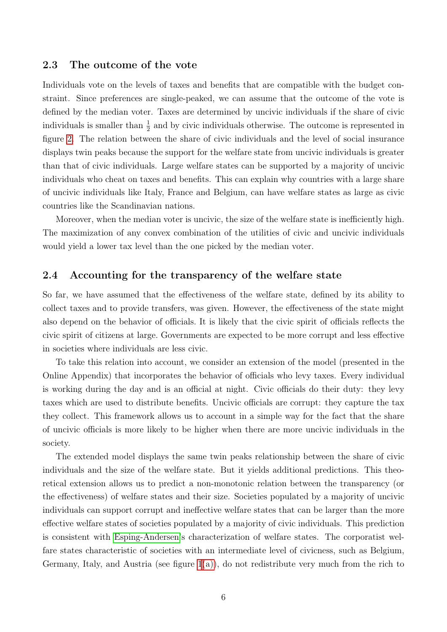#### 2.3 The outcome of the vote

Individuals vote on the levels of taxes and benefits that are compatible with the budget constraint. Since preferences are single-peaked, we can assume that the outcome of the vote is defined by the median voter. Taxes are determined by uncivic individuals if the share of civic individuals is smaller than  $\frac{1}{2}$  and by civic individuals otherwise. The outcome is represented in figure [2.](#page-21-0) The relation between the share of civic individuals and the level of social insurance displays twin peaks because the support for the welfare state from uncivic individuals is greater than that of civic individuals. Large welfare states can be supported by a majority of uncivic individuals who cheat on taxes and benefits. This can explain why countries with a large share of uncivic individuals like Italy, France and Belgium, can have welfare states as large as civic countries like the Scandinavian nations.

Moreover, when the median voter is uncivic, the size of the welfare state is inefficiently high. The maximization of any convex combination of the utilities of civic and uncivic individuals would yield a lower tax level than the one picked by the median voter.

#### 2.4 Accounting for the transparency of the welfare state

So far, we have assumed that the effectiveness of the welfare state, defined by its ability to collect taxes and to provide transfers, was given. However, the effectiveness of the state might also depend on the behavior of officials. It is likely that the civic spirit of officials reflects the civic spirit of citizens at large. Governments are expected to be more corrupt and less effective in societies where individuals are less civic.

To take this relation into account, we consider an extension of the model (presented in the Online Appendix) that incorporates the behavior of officials who levy taxes. Every individual is working during the day and is an official at night. Civic officials do their duty: they levy taxes which are used to distribute benefits. Uncivic officials are corrupt: they capture the tax they collect. This framework allows us to account in a simple way for the fact that the share of uncivic officials is more likely to be higher when there are more uncivic individuals in the society.

The extended model displays the same twin peaks relationship between the share of civic individuals and the size of the welfare state. But it yields additional predictions. This theoretical extension allows us to predict a non-monotonic relation between the transparency (or the effectiveness) of welfare states and their size. Societies populated by a majority of uncivic individuals can support corrupt and ineffective welfare states that can be larger than the more effective welfare states of societies populated by a majority of civic individuals. This prediction is consistent with [Esping-Andersen'](#page-18-8)s characterization of welfare states. The corporatist welfare states characteristic of societies with an intermediate level of civicness, such as Belgium, Germany, Italy, and Austria (see figure  $1(a)$ ), do not redistribute very much from the rich to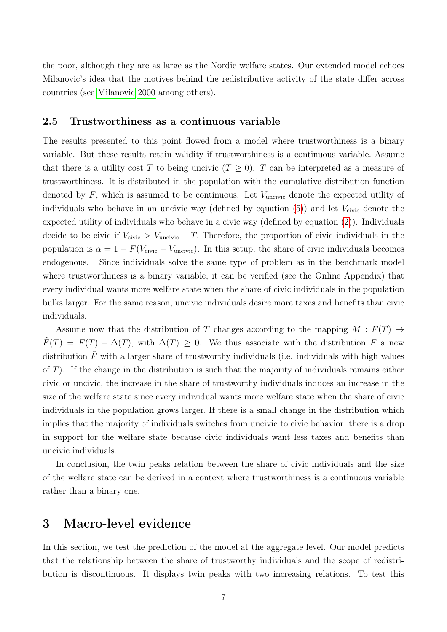the poor, although they are as large as the Nordic welfare states. Our extended model echoes Milanovic's idea that the motives behind the redistributive activity of the state differ across countries (see [Milanovic 2000](#page-19-6) among others).

#### 2.5 Trustworthiness as a continuous variable

The results presented to this point flowed from a model where trustworthiness is a binary variable. But these results retain validity if trustworthiness is a continuous variable. Assume that there is a utility cost T to being uncivic  $(T \geq 0)$ . T can be interpreted as a measure of trustworthiness. It is distributed in the population with the cumulative distribution function denoted by  $F$ , which is assumed to be continuous. Let  $V_{\text{uncivic}}$  denote the expected utility of individuals who behave in an uncivic way (defined by equation  $(5)$ ) and let  $V_{\text{civic}}$  denote the expected utility of individuals who behave in a civic way (defined by equation [\(2\)](#page-6-2)). Individuals decide to be civic if  $V_{\text{civic}} > V_{\text{uncivic}} - T$ . Therefore, the proportion of civic individuals in the population is  $\alpha = 1 - F(V_{\text{civic}} - V_{\text{uncivic}})$ . In this setup, the share of civic individuals becomes endogenous. Since individuals solve the same type of problem as in the benchmark model where trustworthiness is a binary variable, it can be verified (see the Online Appendix) that every individual wants more welfare state when the share of civic individuals in the population bulks larger. For the same reason, uncivic individuals desire more taxes and benefits than civic individuals.

Assume now that the distribution of T changes according to the mapping  $M : F(T) \rightarrow$  $F(T) = F(T) - \Delta(T)$ , with  $\Delta(T) \geq 0$ . We thus associate with the distribution F a new distribution  $F$  with a larger share of trustworthy individuals (i.e. individuals with high values of T). If the change in the distribution is such that the majority of individuals remains either civic or uncivic, the increase in the share of trustworthy individuals induces an increase in the size of the welfare state since every individual wants more welfare state when the share of civic individuals in the population grows larger. If there is a small change in the distribution which implies that the majority of individuals switches from uncivic to civic behavior, there is a drop in support for the welfare state because civic individuals want less taxes and benefits than uncivic individuals.

In conclusion, the twin peaks relation between the share of civic individuals and the size of the welfare state can be derived in a context where trustworthiness is a continuous variable rather than a binary one.

# <span id="page-9-0"></span>3 Macro-level evidence

In this section, we test the prediction of the model at the aggregate level. Our model predicts that the relationship between the share of trustworthy individuals and the scope of redistribution is discontinuous. It displays twin peaks with two increasing relations. To test this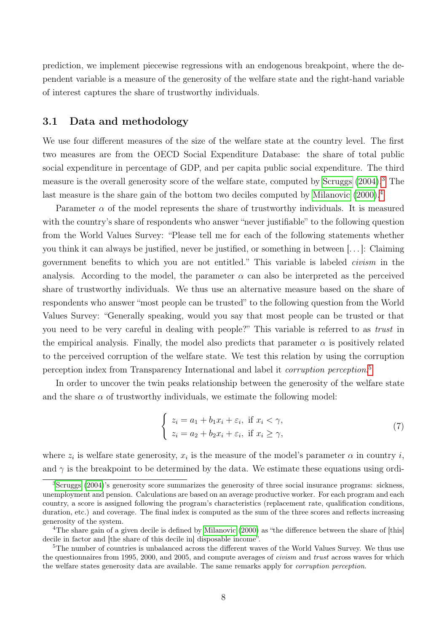prediction, we implement piecewise regressions with an endogenous breakpoint, where the dependent variable is a measure of the generosity of the welfare state and the right-hand variable of interest captures the share of trustworthy individuals.

#### 3.1 Data and methodology

We use four different measures of the size of the welfare state at the country level. The first two measures are from the OECD Social Expenditure Database: the share of total public social expenditure in percentage of GDP, and per capita public social expenditure. The third measure is the overall generosity score of the welfare state, computed by [Scruggs](#page-19-7) [\(2004\)](#page-19-7).[3](#page-10-0) The last measure is the share gain of the bottom two deciles computed by [Milanovic](#page-19-6) [\(2000\)](#page-19-6).<sup>[4](#page-10-1)</sup>

Parameter  $\alpha$  of the model represents the share of trustworthy individuals. It is measured with the country's share of respondents who answer "never justifiable" to the following question from the World Values Survey: "Please tell me for each of the following statements whether you think it can always be justified, never be justified, or something in between [. . . ]: Claiming government benefits to which you are not entitled." This variable is labeled civism in the analysis. According to the model, the parameter  $\alpha$  can also be interpreted as the perceived share of trustworthy individuals. We thus use an alternative measure based on the share of respondents who answer "most people can be trusted" to the following question from the World Values Survey: "Generally speaking, would you say that most people can be trusted or that you need to be very careful in dealing with people?" This variable is referred to as trust in the empirical analysis. Finally, the model also predicts that parameter  $\alpha$  is positively related to the perceived corruption of the welfare state. We test this relation by using the corruption perception index from Transparency International and label it *corruption perception*.<sup>[5](#page-10-2)</sup>

In order to uncover the twin peaks relationship between the generosity of the welfare state and the share  $\alpha$  of trustworthy individuals, we estimate the following model:

$$
\begin{cases}\nz_i = a_1 + b_1 x_i + \varepsilon_i, & \text{if } x_i < \gamma, \\
z_i = a_2 + b_2 x_i + \varepsilon_i, & \text{if } x_i \ge \gamma,\n\end{cases}\n\tag{7}
$$

where  $z_i$  is welfare state generosity,  $x_i$  is the measure of the model's parameter  $\alpha$  in country i, and  $\gamma$  is the breakpoint to be determined by the data. We estimate these equations using ordi-

<span id="page-10-0"></span><sup>3</sup>[Scruggs](#page-19-7) [\(2004\)](#page-19-7)'s generosity score summarizes the generosity of three social insurance programs: sickness, unemployment and pension. Calculations are based on an average productive worker. For each program and each country, a score is assigned following the program's characteristics (replacement rate, qualification conditions, duration, etc.) and coverage. The final index is computed as the sum of the three scores and reflects increasing generosity of the system.

<span id="page-10-1"></span><sup>&</sup>lt;sup>4</sup>The share gain of a given decile is defined by [Milanovic](#page-19-6) [\(2000\)](#page-19-6) as "the difference between the share of [this] decile in factor and [the share of this decile in] disposable income".

<span id="page-10-2"></span><sup>&</sup>lt;sup>5</sup>The number of countries is unbalanced across the different waves of the World Values Survey. We thus use the questionnaires from 1995, 2000, and 2005, and compute averages of civism and trust across waves for which the welfare states generosity data are available. The same remarks apply for corruption perception.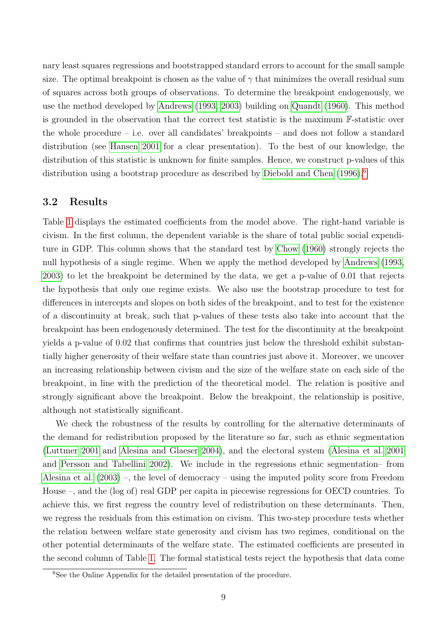nary least squares regressions and bootstrapped standard errors to account for the small sample size. The optimal breakpoint is chosen as the value of  $\gamma$  that minimizes the overall residual sum of squares across both groups of observations. To determine the breakpoint endogenously, we use the method developed by [Andrews](#page-17-9) [\(1993,](#page-17-9) [2003\)](#page-17-10) building on [Quandt](#page-19-8) [\(1960\)](#page-19-8). This method is grounded in the observation that the correct test statistic is the maximum F-statistic over the whole procedure – i.e. over all candidates' breakpoints – and does not follow a standard distribution (see [Hansen 2001](#page-18-9) for a clear presentation). To the best of our knowledge, the distribution of this statistic is unknown for finite samples. Hence, we construct p-values of this distribution using a bootstrap procedure as described by [Diebold and Chen](#page-18-10) [\(1996\)](#page-18-10).<sup>[6](#page-11-0)</sup>

#### 3.2 Results

Table [1](#page-22-0) displays the estimated coefficients from the model above. The right-hand variable is civism. In the first column, the dependent variable is the share of total public social expenditure in GDP. This column shows that the standard test by [Chow](#page-17-11) [\(1960\)](#page-17-11) strongly rejects the null hypothesis of a single regime. When we apply the method developed by [Andrews](#page-17-9) [\(1993,](#page-17-9) [2003\)](#page-17-10) to let the breakpoint be determined by the data, we get a p-value of 0.01 that rejects the hypothesis that only one regime exists. We also use the bootstrap procedure to test for differences in intercepts and slopes on both sides of the breakpoint, and to test for the existence of a discontinuity at break, such that p-values of these tests also take into account that the breakpoint has been endogenously determined. The test for the discontinuity at the breakpoint yields a p-value of 0.02 that confirms that countries just below the threshold exhibit substantially higher generosity of their welfare state than countries just above it. Moreover, we uncover an increasing relationship between civism and the size of the welfare state on each side of the breakpoint, in line with the prediction of the theoretical model. The relation is positive and strongly significant above the breakpoint. Below the breakpoint, the relationship is positive, although not statistically significant.

We check the robustness of the results by controlling for the alternative determinants of the demand for redistribution proposed by the literature so far, such as ethnic segmentation [\(Luttmer 2001](#page-18-7) and [Alesina and Glaeser 2004\)](#page-17-2), and the electoral system [\(Alesina et al. 2001](#page-17-8) and [Persson and Tabellini 2002\)](#page-19-5). We include in the regressions ethnic segmentation– from [Alesina et al.](#page-17-12) [\(2003\)](#page-17-12) –, the level of democracy – using the imputed polity score from Freedom House –, and the (log of) real GDP per capita in piecewise regressions for OECD countries. To achieve this, we first regress the country level of redistribution on these determinants. Then, we regress the residuals from this estimation on civism. This two-step procedure tests whether the relation between welfare state generosity and civism has two regimes, conditional on the other potential determinants of the welfare state. The estimated coefficients are presented in the second column of Table [1.](#page-22-0) The formal statistical tests reject the hypothesis that data come

<span id="page-11-0"></span> ${}^{6}$ See the Online Appendix for the detailed presentation of the procedure.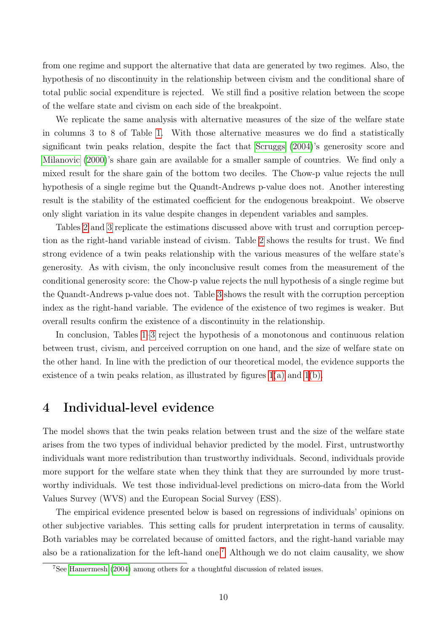from one regime and support the alternative that data are generated by two regimes. Also, the hypothesis of no discontinuity in the relationship between civism and the conditional share of total public social expenditure is rejected. We still find a positive relation between the scope of the welfare state and civism on each side of the breakpoint.

We replicate the same analysis with alternative measures of the size of the welfare state in columns 3 to 8 of Table [1.](#page-22-0) With those alternative measures we do find a statistically significant twin peaks relation, despite the fact that [Scruggs](#page-19-7) [\(2004\)](#page-19-7)'s generosity score and [Milanovic](#page-19-6) [\(2000\)](#page-19-6)'s share gain are available for a smaller sample of countries. We find only a mixed result for the share gain of the bottom two deciles. The Chow-p value rejects the null hypothesis of a single regime but the Quandt-Andrews p-value does not. Another interesting result is the stability of the estimated coefficient for the endogenous breakpoint. We observe only slight variation in its value despite changes in dependent variables and samples.

Tables [2](#page-23-0) and [3](#page-24-0) replicate the estimations discussed above with trust and corruption perception as the right-hand variable instead of civism. Table [2](#page-23-0) shows the results for trust. We find strong evidence of a twin peaks relationship with the various measures of the welfare state's generosity. As with civism, the only inconclusive result comes from the measurement of the conditional generosity score: the Chow-p value rejects the null hypothesis of a single regime but the Quandt-Andrews p-value does not. Table [3](#page-24-0) shows the result with the corruption perception index as the right-hand variable. The evidence of the existence of two regimes is weaker. But overall results confirm the existence of a discontinuity in the relationship.

In conclusion, Tables [1–](#page-22-0)[3](#page-24-0) reject the hypothesis of a monotonous and continuous relation between trust, civism, and perceived corruption on one hand, and the size of welfare state on the other hand. In line with the prediction of our theoretical model, the evidence supports the existence of a twin peaks relation, as illustrated by figures  $1(a)$  $1(a)$  and  $1(b)$ .

# <span id="page-12-0"></span>4 Individual-level evidence

The model shows that the twin peaks relation between trust and the size of the welfare state arises from the two types of individual behavior predicted by the model. First, untrustworthy individuals want more redistribution than trustworthy individuals. Second, individuals provide more support for the welfare state when they think that they are surrounded by more trustworthy individuals. We test those individual-level predictions on micro-data from the World Values Survey (WVS) and the European Social Survey (ESS).

The empirical evidence presented below is based on regressions of individuals' opinions on other subjective variables. This setting calls for prudent interpretation in terms of causality. Both variables may be correlated because of omitted factors, and the right-hand variable may also be a rationalization for the left-hand one.<sup>[7](#page-12-1)</sup> Although we do not claim causality, we show

<span id="page-12-1"></span><sup>7</sup>See [Hamermesh](#page-18-11) [\(2004\)](#page-18-11) among others for a thoughtful discussion of related issues.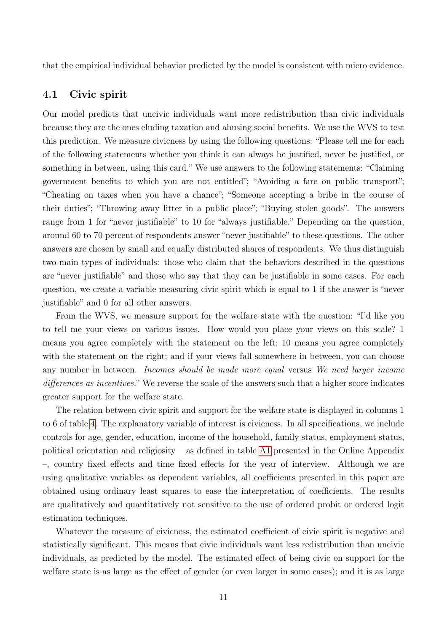that the empirical individual behavior predicted by the model is consistent with micro evidence.

#### 4.1 Civic spirit

Our model predicts that uncivic individuals want more redistribution than civic individuals because they are the ones eluding taxation and abusing social benefits. We use the WVS to test this prediction. We measure civicness by using the following questions: "Please tell me for each of the following statements whether you think it can always be justified, never be justified, or something in between, using this card." We use answers to the following statements: "Claiming government benefits to which you are not entitled"; "Avoiding a fare on public transport"; "Cheating on taxes when you have a chance"; "Someone accepting a bribe in the course of their duties"; "Throwing away litter in a public place"; "Buying stolen goods". The answers range from 1 for "never justifiable" to 10 for "always justifiable." Depending on the question, around 60 to 70 percent of respondents answer "never justifiable" to these questions. The other answers are chosen by small and equally distributed shares of respondents. We thus distinguish two main types of individuals: those who claim that the behaviors described in the questions are "never justifiable" and those who say that they can be justifiable in some cases. For each question, we create a variable measuring civic spirit which is equal to 1 if the answer is "never justifiable" and 0 for all other answers.

From the WVS, we measure support for the welfare state with the question: "I'd like you to tell me your views on various issues. How would you place your views on this scale? 1 means you agree completely with the statement on the left; 10 means you agree completely with the statement on the right; and if your views fall somewhere in between, you can choose any number in between. Incomes should be made more equal versus We need larger income differences as incentives." We reverse the scale of the answers such that a higher score indicates greater support for the welfare state.

The relation between civic spirit and support for the welfare state is displayed in columns 1 to 6 of table [4.](#page-25-0) The explanatory variable of interest is civicness. In all specifications, we include controls for age, gender, education, income of the household, family status, employment status, political orientation and religiosity – as defined in table [A1](#page-22-0) presented in the Online Appendix –, country fixed effects and time fixed effects for the year of interview. Although we are using qualitative variables as dependent variables, all coefficients presented in this paper are obtained using ordinary least squares to ease the interpretation of coefficients. The results are qualitatively and quantitatively not sensitive to the use of ordered probit or ordered logit estimation techniques.

Whatever the measure of civicness, the estimated coefficient of civic spirit is negative and statistically significant. This means that civic individuals want less redistribution than uncivic individuals, as predicted by the model. The estimated effect of being civic on support for the welfare state is as large as the effect of gender (or even larger in some cases); and it is as large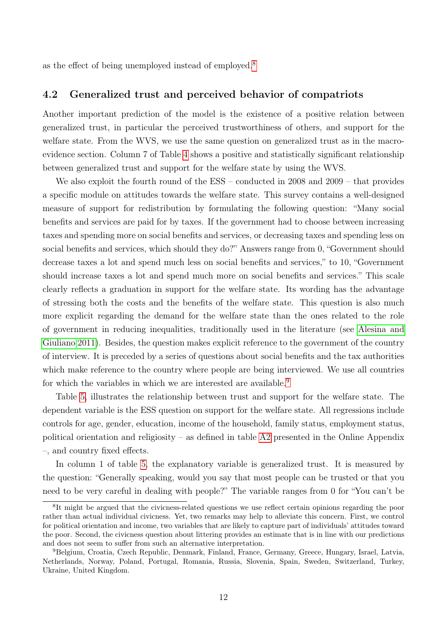as the effect of being unemployed instead of employed.<sup>[8](#page-14-0)</sup>

#### 4.2 Generalized trust and perceived behavior of compatriots

Another important prediction of the model is the existence of a positive relation between generalized trust, in particular the perceived trustworthiness of others, and support for the welfare state. From the WVS, we use the same question on generalized trust as in the macroevidence section. Column 7 of Table [4](#page-25-0) shows a positive and statistically significant relationship between generalized trust and support for the welfare state by using the WVS.

We also exploit the fourth round of the ESS – conducted in 2008 and 2009 – that provides a specific module on attitudes towards the welfare state. This survey contains a well-designed measure of support for redistribution by formulating the following question: "Many social benefits and services are paid for by taxes. If the government had to choose between increasing taxes and spending more on social benefits and services, or decreasing taxes and spending less on social benefits and services, which should they do?" Answers range from 0, "Government should decrease taxes a lot and spend much less on social benefits and services," to 10, "Government should increase taxes a lot and spend much more on social benefits and services." This scale clearly reflects a graduation in support for the welfare state. Its wording has the advantage of stressing both the costs and the benefits of the welfare state. This question is also much more explicit regarding the demand for the welfare state than the ones related to the role of government in reducing inequalities, traditionally used in the literature (see [Alesina and](#page-17-7) [Giuliano 2011\)](#page-17-7). Besides, the question makes explicit reference to the government of the country of interview. It is preceded by a series of questions about social benefits and the tax authorities which make reference to the country where people are being interviewed. We use all countries for which the variables in which we are interested are available.<sup>[9](#page-14-1)</sup>

Table [5,](#page-26-0) illustrates the relationship between trust and support for the welfare state. The dependent variable is the ESS question on support for the welfare state. All regressions include controls for age, gender, education, income of the household, family status, employment status, political orientation and religiosity – as defined in table [A2](#page-23-0) presented in the Online Appendix –, and country fixed effects.

In column 1 of table [5,](#page-26-0) the explanatory variable is generalized trust. It is measured by the question: "Generally speaking, would you say that most people can be trusted or that you need to be very careful in dealing with people?" The variable ranges from 0 for "You can't be

<span id="page-14-0"></span><sup>&</sup>lt;sup>8</sup>It might be argued that the civicness-related questions we use reflect certain opinions regarding the poor rather than actual individual civicness. Yet, two remarks may help to alleviate this concern. First, we control for political orientation and income, two variables that are likely to capture part of individuals' attitudes toward the poor. Second, the civicness question about littering provides an estimate that is in line with our predictions and does not seem to suffer from such an alternative interpretation.

<span id="page-14-1"></span><sup>9</sup>Belgium, Croatia, Czech Republic, Denmark, Finland, France, Germany, Greece, Hungary, Israel, Latvia, Netherlands, Norway, Poland, Portugal, Romania, Russia, Slovenia, Spain, Sweden, Switzerland, Turkey, Ukraine, United Kingdom.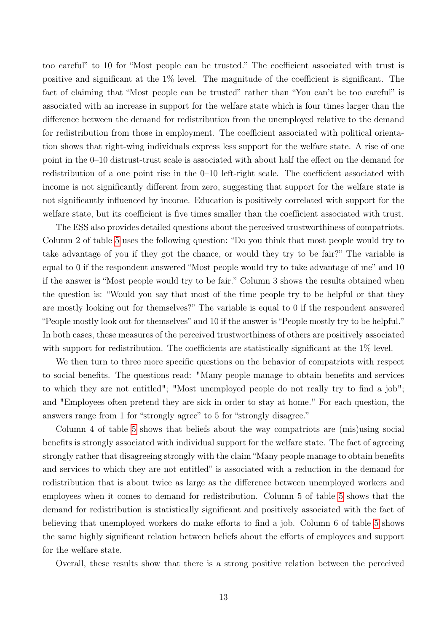too careful" to 10 for "Most people can be trusted." The coefficient associated with trust is positive and significant at the 1% level. The magnitude of the coefficient is significant. The fact of claiming that "Most people can be trusted" rather than "You can't be too careful" is associated with an increase in support for the welfare state which is four times larger than the difference between the demand for redistribution from the unemployed relative to the demand for redistribution from those in employment. The coefficient associated with political orientation shows that right-wing individuals express less support for the welfare state. A rise of one point in the 0–10 distrust-trust scale is associated with about half the effect on the demand for redistribution of a one point rise in the 0–10 left-right scale. The coefficient associated with income is not significantly different from zero, suggesting that support for the welfare state is not significantly influenced by income. Education is positively correlated with support for the welfare state, but its coefficient is five times smaller than the coefficient associated with trust.

The ESS also provides detailed questions about the perceived trustworthiness of compatriots. Column 2 of table [5](#page-26-0) uses the following question: "Do you think that most people would try to take advantage of you if they got the chance, or would they try to be fair?" The variable is equal to 0 if the respondent answered "Most people would try to take advantage of me" and 10 if the answer is "Most people would try to be fair." Column 3 shows the results obtained when the question is: "Would you say that most of the time people try to be helpful or that they are mostly looking out for themselves?" The variable is equal to 0 if the respondent answered "People mostly look out for themselves" and 10 if the answer is "People mostly try to be helpful." In both cases, these measures of the perceived trustworthiness of others are positively associated with support for redistribution. The coefficients are statistically significant at the  $1\%$  level.

We then turn to three more specific questions on the behavior of compatriots with respect to social benefits. The questions read: "Many people manage to obtain benefits and services to which they are not entitled"; "Most unemployed people do not really try to find a job"; and "Employees often pretend they are sick in order to stay at home." For each question, the answers range from 1 for "strongly agree" to 5 for "strongly disagree."

Column 4 of table [5](#page-26-0) shows that beliefs about the way compatriots are (mis)using social benefits is strongly associated with individual support for the welfare state. The fact of agreeing strongly rather that disagreeing strongly with the claim "Many people manage to obtain benefits and services to which they are not entitled" is associated with a reduction in the demand for redistribution that is about twice as large as the difference between unemployed workers and employees when it comes to demand for redistribution. Column 5 of table [5](#page-26-0) shows that the demand for redistribution is statistically significant and positively associated with the fact of believing that unemployed workers do make efforts to find a job. Column 6 of table [5](#page-26-0) shows the same highly significant relation between beliefs about the efforts of employees and support for the welfare state.

Overall, these results show that there is a strong positive relation between the perceived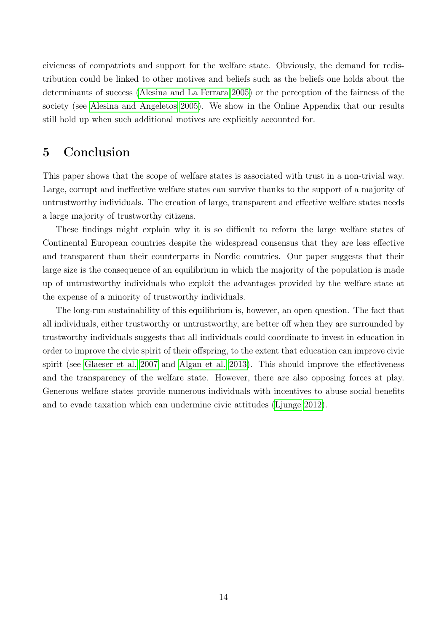civicness of compatriots and support for the welfare state. Obviously, the demand for redistribution could be linked to other motives and beliefs such as the beliefs one holds about the determinants of success [\(Alesina and La Ferrara 2005\)](#page-17-4) or the perception of the fairness of the society (see [Alesina and Angeletos 2005\)](#page-17-5). We show in the Online Appendix that our results still hold up when such additional motives are explicitly accounted for.

# <span id="page-16-0"></span>5 Conclusion

This paper shows that the scope of welfare states is associated with trust in a non-trivial way. Large, corrupt and ineffective welfare states can survive thanks to the support of a majority of untrustworthy individuals. The creation of large, transparent and effective welfare states needs a large majority of trustworthy citizens.

These findings might explain why it is so difficult to reform the large welfare states of Continental European countries despite the widespread consensus that they are less effective and transparent than their counterparts in Nordic countries. Our paper suggests that their large size is the consequence of an equilibrium in which the majority of the population is made up of untrustworthy individuals who exploit the advantages provided by the welfare state at the expense of a minority of trustworthy individuals.

The long-run sustainability of this equilibrium is, however, an open question. The fact that all individuals, either trustworthy or untrustworthy, are better off when they are surrounded by trustworthy individuals suggests that all individuals could coordinate to invest in education in order to improve the civic spirit of their offspring, to the extent that education can improve civic spirit (see [Glaeser et al. 2007](#page-18-12) and [Algan et al. 2013\)](#page-17-13). This should improve the effectiveness and the transparency of the welfare state. However, there are also opposing forces at play. Generous welfare states provide numerous individuals with incentives to abuse social benefits and to evade taxation which can undermine civic attitudes [\(Ljunge 2012\)](#page-18-13).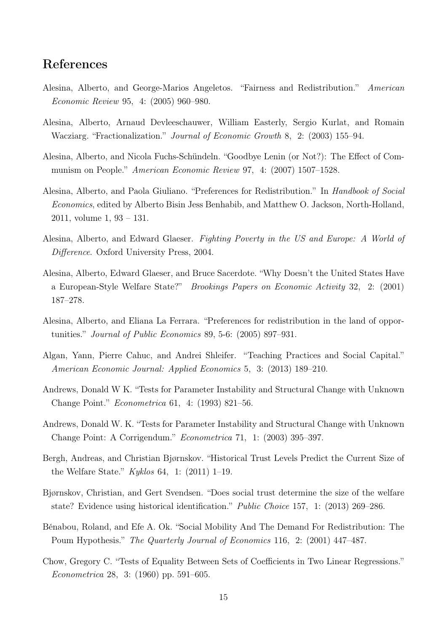# References

- <span id="page-17-5"></span>Alesina, Alberto, and George-Marios Angeletos. "Fairness and Redistribution." American Economic Review 95, 4: (2005) 960–980.
- <span id="page-17-12"></span>Alesina, Alberto, Arnaud Devleeschauwer, William Easterly, Sergio Kurlat, and Romain Wacziarg. "Fractionalization." Journal of Economic Growth 8, 2: (2003) 155–94.
- <span id="page-17-6"></span>Alesina, Alberto, and Nicola Fuchs-Schündeln. "Goodbye Lenin (or Not?): The Effect of Communism on People." American Economic Review 97, 4: (2007) 1507–1528.
- <span id="page-17-7"></span>Alesina, Alberto, and Paola Giuliano. "Preferences for Redistribution." In Handbook of Social Economics, edited by Alberto Bisin Jess Benhabib, and Matthew O. Jackson, North-Holland, 2011, volume 1, 93 – 131.
- <span id="page-17-2"></span>Alesina, Alberto, and Edward Glaeser. Fighting Poverty in the US and Europe: A World of Difference. Oxford University Press, 2004.
- <span id="page-17-8"></span>Alesina, Alberto, Edward Glaeser, and Bruce Sacerdote. "Why Doesn't the United States Have a European-Style Welfare State?" Brookings Papers on Economic Activity 32, 2: (2001) 187–278.
- <span id="page-17-4"></span>Alesina, Alberto, and Eliana La Ferrara. "Preferences for redistribution in the land of opportunities." Journal of Public Economics 89, 5-6: (2005) 897–931.
- <span id="page-17-13"></span>Algan, Yann, Pierre Cahuc, and Andrei Shleifer. "Teaching Practices and Social Capital." American Economic Journal: Applied Economics 5, 3: (2013) 189–210.
- <span id="page-17-9"></span>Andrews, Donald W K. "Tests for Parameter Instability and Structural Change with Unknown Change Point." Econometrica 61, 4: (1993) 821–56.
- <span id="page-17-10"></span>Andrews, Donald W. K. "Tests for Parameter Instability and Structural Change with Unknown Change Point: A Corrigendum." Econometrica 71, 1: (2003) 395–397.
- <span id="page-17-0"></span>Bergh, Andreas, and Christian Bjørnskov. "Historical Trust Levels Predict the Current Size of the Welfare State." Kyklos 64, 1: (2011) 1–19.
- <span id="page-17-1"></span>Bjørnskov, Christian, and Gert Svendsen. "Does social trust determine the size of the welfare state? Evidence using historical identification." Public Choice 157, 1: (2013) 269–286.
- <span id="page-17-3"></span>Bénabou, Roland, and Efe A. Ok. "Social Mobility And The Demand For Redistribution: The Poum Hypothesis." The Quarterly Journal of Economics 116, 2: (2001) 447–487.
- <span id="page-17-11"></span>Chow, Gregory C. "Tests of Equality Between Sets of Coefficients in Two Linear Regressions." Econometrica 28, 3: (1960) pp. 591–605.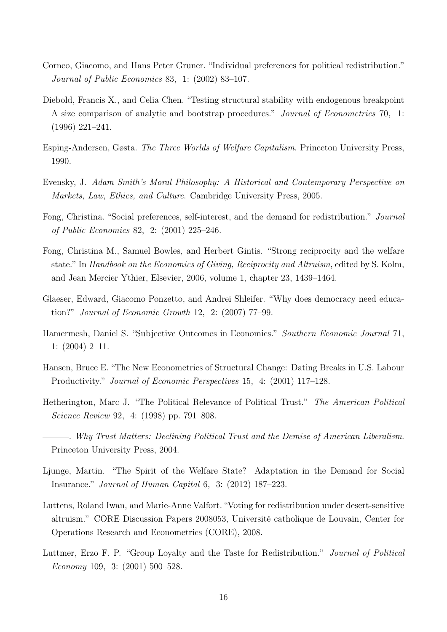- <span id="page-18-3"></span>Corneo, Giacomo, and Hans Peter Gruner. "Individual preferences for political redistribution." Journal of Public Economics 83, 1: (2002) 83–107.
- <span id="page-18-10"></span>Diebold, Francis X., and Celia Chen. "Testing structural stability with endogenous breakpoint A size comparison of analytic and bootstrap procedures." Journal of Econometrics 70, 1: (1996) 221–241.
- <span id="page-18-8"></span>Esping-Andersen, Gøsta. The Three Worlds of Welfare Capitalism. Princeton University Press, 1990.
- <span id="page-18-2"></span>Evensky, J. Adam Smith's Moral Philosophy: A Historical and Contemporary Perspective on Markets, Law, Ethics, and Culture. Cambridge University Press, 2005.
- <span id="page-18-5"></span>Fong, Christina. "Social preferences, self-interest, and the demand for redistribution." Journal of Public Economics 82, 2: (2001) 225–246.
- <span id="page-18-6"></span>Fong, Christina M., Samuel Bowles, and Herbert Gintis. "Strong reciprocity and the welfare state." In Handbook on the Economics of Giving, Reciprocity and Altruism, edited by S. Kolm, and Jean Mercier Ythier, Elsevier, 2006, volume 1, chapter 23, 1439–1464.
- <span id="page-18-12"></span>Glaeser, Edward, Giacomo Ponzetto, and Andrei Shleifer. "Why does democracy need education?" Journal of Economic Growth 12, 2: (2007) 77–99.
- <span id="page-18-11"></span>Hamermesh, Daniel S. "Subjective Outcomes in Economics." Southern Economic Journal 71, 1: (2004) 2–11.
- <span id="page-18-9"></span>Hansen, Bruce E. "The New Econometrics of Structural Change: Dating Breaks in U.S. Labour Productivity." Journal of Economic Perspectives 15, 4: (2001) 117–128.
- <span id="page-18-0"></span>Hetherington, Marc J. "The Political Relevance of Political Trust." The American Political Science Review 92, 4: (1998) pp. 791–808.
- <span id="page-18-1"></span>. Why Trust Matters: Declining Political Trust and the Demise of American Liberalism. Princeton University Press, 2004.
- <span id="page-18-13"></span>Ljunge, Martin. "The Spirit of the Welfare State? Adaptation in the Demand for Social Insurance." Journal of Human Capital 6, 3: (2012) 187–223.
- <span id="page-18-4"></span>Luttens, Roland Iwan, and Marie-Anne Valfort. "Voting for redistribution under desert-sensitive altruism." CORE Discussion Papers 2008053, Université catholique de Louvain, Center for Operations Research and Econometrics (CORE), 2008.
- <span id="page-18-7"></span>Luttmer, Erzo F. P. "Group Loyalty and the Taste for Redistribution." Journal of Political Economy 109, 3: (2001) 500–528.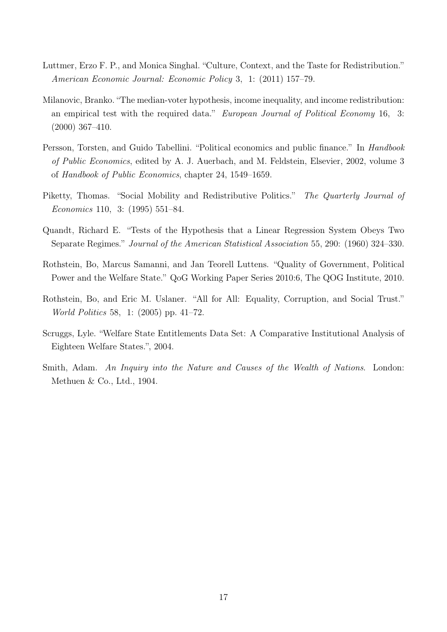- <span id="page-19-4"></span>Luttmer, Erzo F. P., and Monica Singhal. "Culture, Context, and the Taste for Redistribution." American Economic Journal: Economic Policy 3, 1: (2011) 157–79.
- <span id="page-19-6"></span>Milanovic, Branko. "The median-voter hypothesis, income inequality, and income redistribution: an empirical test with the required data." European Journal of Political Economy 16, 3: (2000) 367–410.
- <span id="page-19-5"></span>Persson, Torsten, and Guido Tabellini. "Political economics and public finance." In *Handbook* of Public Economics, edited by A. J. Auerbach, and M. Feldstein, Elsevier, 2002, volume 3 of Handbook of Public Economics, chapter 24, 1549–1659.
- <span id="page-19-3"></span>Piketty, Thomas. "Social Mobility and Redistributive Politics." The Quarterly Journal of Economics 110, 3: (1995) 551–84.
- <span id="page-19-8"></span>Quandt, Richard E. "Tests of the Hypothesis that a Linear Regression System Obeys Two Separate Regimes." Journal of the American Statistical Association 55, 290: (1960) 324–330.
- <span id="page-19-1"></span>Rothstein, Bo, Marcus Samanni, and Jan Teorell Luttens. "Quality of Government, Political Power and the Welfare State." QoG Working Paper Series 2010:6, The QOG Institute, 2010.
- <span id="page-19-0"></span>Rothstein, Bo, and Eric M. Uslaner. "All for All: Equality, Corruption, and Social Trust." World Politics 58, 1: (2005) pp. 41–72.
- <span id="page-19-7"></span>Scruggs, Lyle. "Welfare State Entitlements Data Set: A Comparative Institutional Analysis of Eighteen Welfare States.", 2004.
- <span id="page-19-2"></span>Smith, Adam. An Inquiry into the Nature and Causes of the Wealth of Nations. London: Methuen & Co., Ltd., 1904.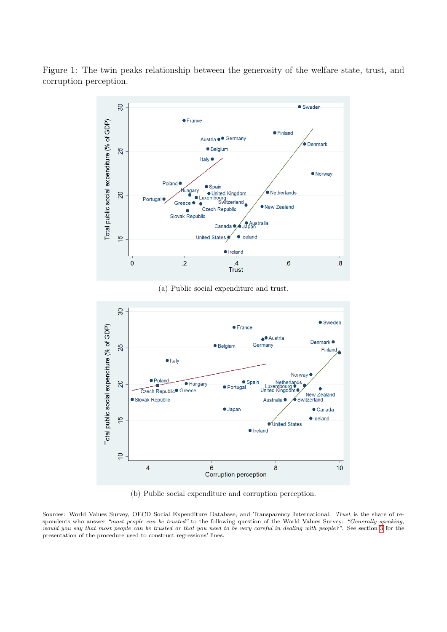<span id="page-20-1"></span>Figure 1: The twin peaks relationship between the generosity of the welfare state, trust, and corruption perception.

<span id="page-20-0"></span>

(a) Public social expenditure and trust.



<span id="page-20-2"></span>(b) Public social expenditure and corruption perception.

Sources: World Values Survey, OECD Social Expenditure Database, and Transparency International. Trust is the share of respondents who answer "most people can be trusted" to the following question of the World Values Survey: "Generally speaking, would you say that most people can be trusted or that you need to be very careful in dealing with people?". See section [3](#page-9-0) for the presentation of the procedure used to construct regressions' lines.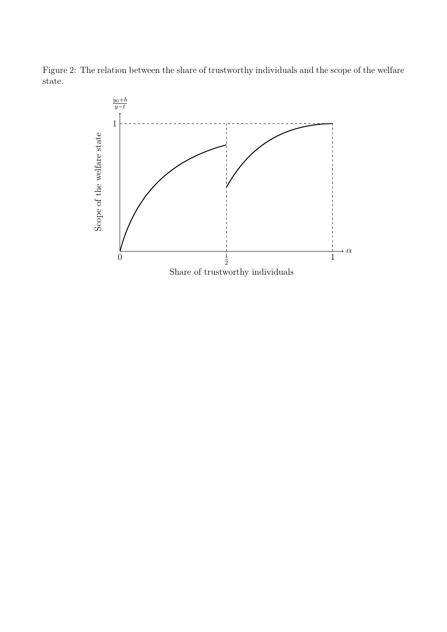Figure 2: The relation between the share of trustworthy individuals and the scope of the welfare state.

<span id="page-21-0"></span>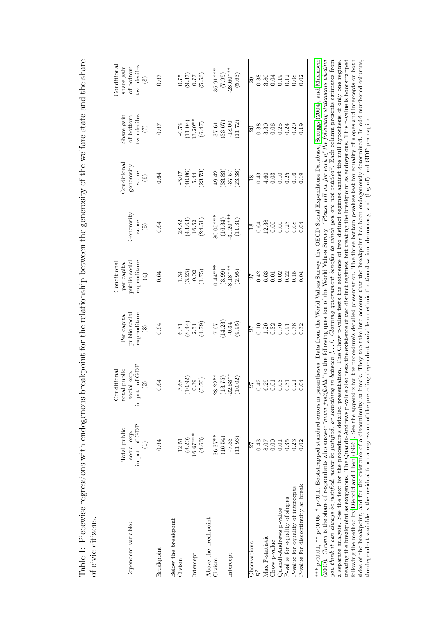<span id="page-22-0"></span>

| Dependent variable:                | in pct. of GDP<br>Total public<br>social exp. | in pct. of GDP<br>total public<br>Conditional<br>social exp. | public social<br>expenditure<br>Per capita    | expenditure<br>public social<br>Conditional<br>per capita | Generosity                                      | Conditional<br>generosity                      | two deciles<br>Share gain<br>of bottom | Conditional<br>two deciles<br>share gain<br>of bottom           |
|------------------------------------|-----------------------------------------------|--------------------------------------------------------------|-----------------------------------------------|-----------------------------------------------------------|-------------------------------------------------|------------------------------------------------|----------------------------------------|-----------------------------------------------------------------|
|                                    | $\widehat{\Xi}$                               | $\widehat{c}$                                                | $\widehat{\mathbf{c}}$                        | $\widehat{E}$                                             | score<br>$\widetilde{5}$                        | score<br>$\widehat{6}$                         | (7)                                    | $\circledS$                                                     |
| Breakpoint                         | 0.64                                          | 0.64                                                         | 0.64                                          | 0.64                                                      | 0.64                                            | 0.64                                           | 0.67                                   | <b>0.67</b>                                                     |
| Below the breakpoint<br>Civism     | 12.51                                         | 3.68                                                         | 6.31                                          | 1.34                                                      | 28.82                                           | $-3.07$                                        | $-0.79$                                | 0.75                                                            |
|                                    | (8.20)                                        | (10.92)                                                      |                                               |                                                           |                                                 |                                                |                                        |                                                                 |
| Intercept                          | $16.67***$                                    | 0.39                                                         | $\begin{array}{c} (8.44) \\ 2.51 \end{array}$ | $(3.23)$<br>$-0.02$                                       | $\begin{array}{c} (43.63) \\ 16.52 \end{array}$ | $\begin{array}{c} (40.86) \\ 5.44 \end{array}$ | $(11.04)$<br>13.20**                   | $\begin{array}{c} (9\ 37) \\ 0\ 77 \\ 17 \\ (5.53) \end{array}$ |
|                                    | (4.63)                                        | (5.70)                                                       | (4.79)                                        | (1.75)                                                    | (24.51)                                         | (23.73)                                        | (6.47)                                 |                                                                 |
| Above the breakpoint<br>Civism     | $36.37***$                                    | $28.22***$                                                   | $7.67\,$                                      | $10.44***$                                                | 80.05***                                        | 49.42                                          | 37.61                                  | $36.91***$                                                      |
|                                    | (16.54)                                       | (13.75)                                                      | (14.23)                                       | (3.99)                                                    |                                                 | (33.83)                                        |                                        | (7.99)                                                          |
| Intercept                          | $-7.33$                                       | $-22.63**$                                                   | $-0.34$                                       | $8.18***$                                                 | $(16.34)$<br>-31.20***                          | $-37.57$                                       | $(33.67)$<br>-18.00                    | $-28.60***$                                                     |
|                                    | (11.93)                                       | (10.02)                                                      | (9.95)                                        | (2.95)                                                    | (11.31)                                         | (23.38)                                        | (11.72)                                | (5.63)                                                          |
| Observations                       | 27                                            | 77                                                           | 77                                            | 27                                                        | $^{8}$                                          | $\frac{8}{18}$                                 | 20                                     | $\overline{20}$                                                 |
|                                    | 0.43                                          | 0.42                                                         | 0.10                                          | 0.42                                                      | $\!0.64\!$                                      | 0.43                                           | 0.38                                   | 0.38                                                            |
| Max F-statistic                    | 8.07                                          | 6.29                                                         | 1.20                                          | 6.63                                                      | 12.38                                           | $4.60\,$                                       | 3.30                                   | 3.80                                                            |
| Chow p-value                       | $0.00$                                        | 0.01                                                         | 0.32                                          | 0.01                                                      | 0.00                                            | 0.03                                           | 0.06                                   | 0.04                                                            |
| Quandt-Andrews p-value             | $0.01\,$                                      | 0.03                                                         | 0.70                                          | 0.02                                                      | 0.00                                            | 0.10                                           | 0.25                                   | $0.12$<br>$0.08$                                                |
| P-value for equality of slopes     | 0.35                                          | 0.31                                                         | $0.91$<br>$0.78$                              | $0.22$<br>$0.15$                                          | $\frac{0.23}{0.08}$                             | $0.25$<br>$0.16$                               | $0.24$<br>$0.20$                       |                                                                 |
| P-value for equality of intercepts | 0.23                                          | 0.21                                                         |                                               |                                                           |                                                 |                                                |                                        |                                                                 |
| P-value for discontinuity at break | 0.02                                          | 0.04                                                         | 0.32                                          | 0.04                                                      | 0.04                                            | 0.19                                           | 0.19                                   | 0.02                                                            |

Table 1: Piecewise regressions with endogenous breakpoint for the relationship between the generosity of the welfare state and the share Table 1: Piecewise regressions with endogenous breakpoint for the relationship between the generosity of the welfare state and the share

you think it can always be justified, never be justified, or something in between  $\cdot$  ...  $\cdot$  ...  $C$ laiming government benefits to which you are not entitled". Each column presents estimates from following the method by Diebold and Chen (1996). See the appendix for the procedure's detailed presentation. The three bottom p-values test for equality of slopes and intercepts on both<br>sides of the breakpoint, and for the a separate analysis. See the text for the procedure's detailed presentation. The Chow p-value tests the existence of two distinct regimes against the null hypothesis of only one regime, treating the breakpoint as exogenous. The Quandt-Andrews p-value also tests the existence of two distinct regimes, but treating the breakpoint as endogenous. This p-value is bootstrapped you think it can always be justified, never be justified, or something in between [.. .]: Claiming government benefits to which you are not entitled". Each column presents estimates from<br>We are not as the notation of the a separate analysis. See the text for the procedure's detailed presentation. The Chow p-value tests the existence of two distinct regimes against the null hypothesis of only one regime, treating the breakpoint as exogenous. The Quandt-Andrews p-value also tests the existence of two distinct regimes, but treating the breakpoint as endogenous. This p-value is bootstrapped following the method by [Diebold](#page-18-10) and Chen [\(1996\)](#page-18-10). See the appendix for the procedure's detailed presentation. The three bottom p-values test for equality of slopes and intercepts on both sides of the breakpoint, and for the existence of a discontinuity at break. They too take into account that the breakpoint has been endogenously determined. In odd-numbered columns, the dependent variable is the residual from a regression of the preceding dependent variable on ethnic fractionalization, democracy, and (log of) real GDP per capita. the dependent variable is the residual from a regression of the preceding dependent variable on ethnic fractionalization, democracy, and (log of) real GDP per capita.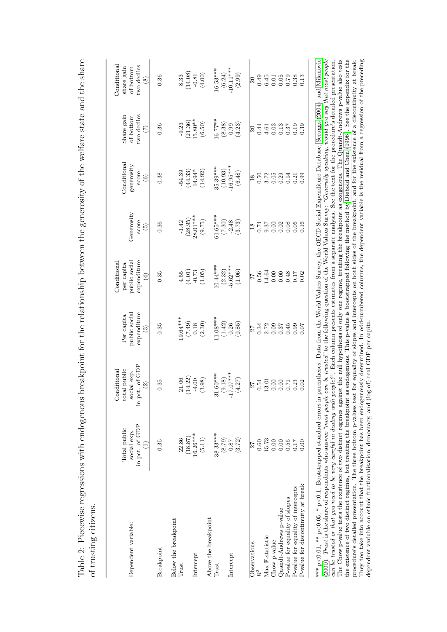<span id="page-23-0"></span>

| 0.35<br>4.55<br>$19.64***$<br>0.35<br>(14.22)<br>21.06<br>0.35<br>22.86<br>0.35<br>Below the breakpoint<br><b>Breakpoint</b><br>Trust                                                                                                                                                                                                                                                                                                                                                                                                                                                                                                                                                                                                                                                                                                                                                                                                                                                                                                                                                                                                                                   | $(28.95)$<br>$28.01***$<br>$61.65***$<br>(9.75)<br>(7.30)<br>$-1.42$<br>$-2.48$<br>0.36<br>$(2.32)$<br>$-5.62***$<br>$10.44***$<br>(1.05)<br>$(4.01)$<br>$-0.73$<br>$(7.49)$<br>0.18<br>(2.30)<br>(1.42)<br>0.26 | 35.39***<br>$14.94*$<br>(14.92)<br>(44.33)<br>$-54.39$<br>0.38 | $(21.36)$<br>15.80**<br>(6.50)<br>$-9.23$<br>0.36       | $\begin{array}{c} (14.08) \\ -0.81 \\ (4.00) \end{array}$<br>0.36<br>8.33 |
|-------------------------------------------------------------------------------------------------------------------------------------------------------------------------------------------------------------------------------------------------------------------------------------------------------------------------------------------------------------------------------------------------------------------------------------------------------------------------------------------------------------------------------------------------------------------------------------------------------------------------------------------------------------------------------------------------------------------------------------------------------------------------------------------------------------------------------------------------------------------------------------------------------------------------------------------------------------------------------------------------------------------------------------------------------------------------------------------------------------------------------------------------------------------------|------------------------------------------------------------------------------------------------------------------------------------------------------------------------------------------------------------------|----------------------------------------------------------------|---------------------------------------------------------|---------------------------------------------------------------------------|
|                                                                                                                                                                                                                                                                                                                                                                                                                                                                                                                                                                                                                                                                                                                                                                                                                                                                                                                                                                                                                                                                                                                                                                         |                                                                                                                                                                                                                  |                                                                |                                                         |                                                                           |
|                                                                                                                                                                                                                                                                                                                                                                                                                                                                                                                                                                                                                                                                                                                                                                                                                                                                                                                                                                                                                                                                                                                                                                         |                                                                                                                                                                                                                  |                                                                |                                                         |                                                                           |
| $-4.00$<br>(3.98)<br>$(18.87)$<br>16.26***<br>(5.11)<br>Intercept                                                                                                                                                                                                                                                                                                                                                                                                                                                                                                                                                                                                                                                                                                                                                                                                                                                                                                                                                                                                                                                                                                       |                                                                                                                                                                                                                  |                                                                |                                                         |                                                                           |
| $11.08***$<br>$31.60***$<br>38.33***<br>Above the breakpoint<br>Trust                                                                                                                                                                                                                                                                                                                                                                                                                                                                                                                                                                                                                                                                                                                                                                                                                                                                                                                                                                                                                                                                                                   |                                                                                                                                                                                                                  |                                                                | 16.77**                                                 | $16.53***$                                                                |
| (1.06)<br>(0.85)<br>$7.07***$<br>(9.18)<br>(4.27)<br>루<br>(8.79)<br>(3.72)<br>0.87<br>Intercept                                                                                                                                                                                                                                                                                                                                                                                                                                                                                                                                                                                                                                                                                                                                                                                                                                                                                                                                                                                                                                                                         | (3.73)                                                                                                                                                                                                           | $-16.95***$<br>(10.93)<br>(6.48)                               | $\begin{array}{c} (8.38) \\ 0.99 \end{array}$<br>(4.23) | $-10.11***$<br>(6.24)<br>(2.99)                                           |
| $\overline{27}$<br>27<br>$\overline{27}$<br>27<br>Observations                                                                                                                                                                                                                                                                                                                                                                                                                                                                                                                                                                                                                                                                                                                                                                                                                                                                                                                                                                                                                                                                                                          | $\frac{8}{10}$                                                                                                                                                                                                   | $\frac{8}{18}$                                                 | $\overline{20}$                                         | $\overline{\Omega}$                                                       |
| 0.56<br>0.54<br>0.60                                                                                                                                                                                                                                                                                                                                                                                                                                                                                                                                                                                                                                                                                                                                                                                                                                                                                                                                                                                                                                                                                                                                                    |                                                                                                                                                                                                                  |                                                                | 0.44                                                    | 0.49                                                                      |
| 14.64<br>$0.34$<br>2.72<br>13.01<br>15.73<br>Max F-statistic                                                                                                                                                                                                                                                                                                                                                                                                                                                                                                                                                                                                                                                                                                                                                                                                                                                                                                                                                                                                                                                                                                            |                                                                                                                                                                                                                  | $0.500$<br>$0.700$<br>$0.05$                                   | 4.61                                                    | 6.45                                                                      |
| 0.00<br>0.09<br>0.00<br>0.00<br>Chow p-value                                                                                                                                                                                                                                                                                                                                                                                                                                                                                                                                                                                                                                                                                                                                                                                                                                                                                                                                                                                                                                                                                                                            | $\begin{array}{c} 0.74 \\ 0.37 \\ 0.00 \\ 0.00 \\ \end{array}$                                                                                                                                                   |                                                                | 0.03                                                    | $0.38$<br>$0.05$                                                          |
| $0.00$<br>0.48<br>0.37<br>0.45<br>0.00<br>0.71<br>$0.00$<br>$0.55\,$<br>P-value for equality of slopes<br>Quandt-Andrews p-value                                                                                                                                                                                                                                                                                                                                                                                                                                                                                                                                                                                                                                                                                                                                                                                                                                                                                                                                                                                                                                        |                                                                                                                                                                                                                  | 0.29<br>0.14                                                   | 0.13<br>0.37                                            |                                                                           |
| 0.17<br>0.99<br>0.23<br>0.17<br>P-value for equality of intercepts                                                                                                                                                                                                                                                                                                                                                                                                                                                                                                                                                                                                                                                                                                                                                                                                                                                                                                                                                                                                                                                                                                      | 0.06                                                                                                                                                                                                             | 0.21                                                           | 0.19                                                    | 0.38                                                                      |
| 0.02<br>0.07<br>0.02<br>0.00<br>P-value for discontinuity at break                                                                                                                                                                                                                                                                                                                                                                                                                                                                                                                                                                                                                                                                                                                                                                                                                                                                                                                                                                                                                                                                                                      | 0.16                                                                                                                                                                                                             | 0.99                                                           | 0.39                                                    | 0.13                                                                      |
| *** $p<0.01$ , ** $p<0.15$ , Bootstrapped standard errors in parentheses. Data from the World Values Survey, the OECD Social Expenditure Database, Scruggs (2004), and Milanovic<br>(2000). Trust is the share of respondents who answer "most people can be trusted" to the following question of the World Values Survey: "Generally speaking, would you say that most people<br>The Chow p-value tests the existence of two distinct regimes against the null hypothesis of only one regime, treating the breakpoint as exogenous. The Quandt-Andrews p-value also tests<br>the existence of two distinct regimes, but treating the breakpoint as endogenous. This p-value is bootstrapped following the method by Diebold and Chen (1996). See the appendix for the<br>procedure's detailed presentation. The three bottom p-values test for equality of slopes and intercepts on both sides of the breakpoint, and for the existence of a discontinuity at break.<br>can be trusted or that you need to be very careful in dealing with people?". Each column presents estimates from a separate analysis. See the text for the procedure's detailed presentation. |                                                                                                                                                                                                                  |                                                                |                                                         |                                                                           |

dependent variable on ethnic fractionalization, democracy, and (log of) real GDP per capita.

dependent variable on ethnic fractionalization, democracy, and (log of) real GDP per capita.

Table 2: Piecewise regressions with endogenous breakpoint for the relationship between the generosity of the welfare state and the share Table 2: Piecewise regressions with endogenous breakpoint for the relationship between the generosity of the welfare state and the share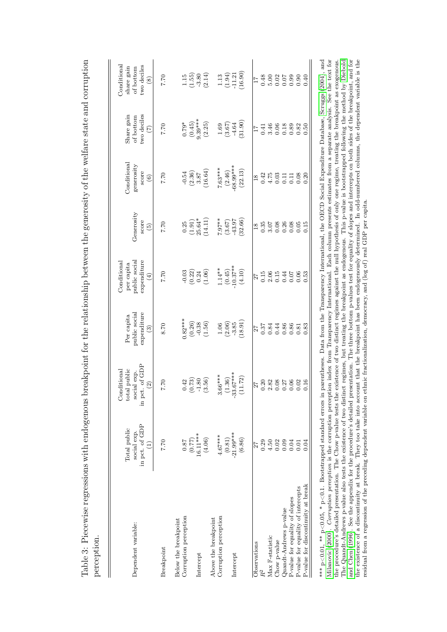| Dependent variable:                                                                                                                                                                                                                                                                                                                                                                                                                                                                                                                                                                                                                                                                                                                                                                                                                                                                                                                                                                                                                                                                                                                                                                                                                                                                                     | in pct. of GDP<br>Total public<br>social exp.<br>$\widehat{\Xi}$ | in pct. of GDP<br>total public<br>Conditional<br>social exp.<br>$\widehat{\Omega}$ | public social<br>expenditure<br>Per capita<br>ව | public social<br>expenditure<br>Conditional<br>per capita<br>$\left( 4\right)$ | Generosity<br>score<br>$\widehat{E}$ | Conditional<br>generosity<br>score<br>$\odot$ | two deciles<br>Share gain<br>of bottom<br>$\widehat{C}$ | $\footnotesize \texttt{Conditional}$<br>two deciles<br>share gain<br>of bottom<br>$\circledast$ |
|---------------------------------------------------------------------------------------------------------------------------------------------------------------------------------------------------------------------------------------------------------------------------------------------------------------------------------------------------------------------------------------------------------------------------------------------------------------------------------------------------------------------------------------------------------------------------------------------------------------------------------------------------------------------------------------------------------------------------------------------------------------------------------------------------------------------------------------------------------------------------------------------------------------------------------------------------------------------------------------------------------------------------------------------------------------------------------------------------------------------------------------------------------------------------------------------------------------------------------------------------------------------------------------------------------|------------------------------------------------------------------|------------------------------------------------------------------------------------|-------------------------------------------------|--------------------------------------------------------------------------------|--------------------------------------|-----------------------------------------------|---------------------------------------------------------|-------------------------------------------------------------------------------------------------|
| Breakpoint                                                                                                                                                                                                                                                                                                                                                                                                                                                                                                                                                                                                                                                                                                                                                                                                                                                                                                                                                                                                                                                                                                                                                                                                                                                                                              | 7.70                                                             | $7.70\,$                                                                           | 8.70                                            | 02.7                                                                           | 02.7                                 | 02.7                                          | 02.7                                                    | 02.7                                                                                            |
| Corruption perception<br>Below the breakpoint                                                                                                                                                                                                                                                                                                                                                                                                                                                                                                                                                                                                                                                                                                                                                                                                                                                                                                                                                                                                                                                                                                                                                                                                                                                           | 0.87                                                             | 0.42                                                                               | $0.82***$                                       | $-0.03$                                                                        | 0.25                                 | $-0.54$                                       | $0.79*$                                                 |                                                                                                 |
|                                                                                                                                                                                                                                                                                                                                                                                                                                                                                                                                                                                                                                                                                                                                                                                                                                                                                                                                                                                                                                                                                                                                                                                                                                                                                                         | (0.77)                                                           | (0.73)                                                                             | (0.26)                                          | $(0.22)$                                                                       | (1.91)                               | (2.36)                                        | (0.45)                                                  | $1.15$<br>(1.55)                                                                                |
| Intercept                                                                                                                                                                                                                                                                                                                                                                                                                                                                                                                                                                                                                                                                                                                                                                                                                                                                                                                                                                                                                                                                                                                                                                                                                                                                                               | 16.11***<br>(4.06)                                               | (3.56)<br>$-1.80$                                                                  | (1.56)<br>$-0.38$                               | (1.06)<br>0.24                                                                 | 25.64*<br>(14.11)                    | (16.64)<br>3.87                               | $9.39***$<br>(2.25)                                     | (2.14)<br>$-3.80$                                                                               |
| Above the breakpoint                                                                                                                                                                                                                                                                                                                                                                                                                                                                                                                                                                                                                                                                                                                                                                                                                                                                                                                                                                                                                                                                                                                                                                                                                                                                                    |                                                                  |                                                                                    |                                                 |                                                                                |                                      |                                               |                                                         |                                                                                                 |
| Corruption perception                                                                                                                                                                                                                                                                                                                                                                                                                                                                                                                                                                                                                                                                                                                                                                                                                                                                                                                                                                                                                                                                                                                                                                                                                                                                                   | $4.67***$                                                        | $3.66***$                                                                          | $1.06\,$                                        | $1.14***$                                                                      | $7.97**$                             | $7.63***$                                     | $\frac{1.69}{(3.67)}$                                   | 1.13                                                                                            |
| Intercept                                                                                                                                                                                                                                                                                                                                                                                                                                                                                                                                                                                                                                                                                                                                                                                                                                                                                                                                                                                                                                                                                                                                                                                                                                                                                               | $-21.99***$<br>(0.81)                                            | $-33.67***$<br>(1.36)                                                              | (2.06)<br>$-3.85$                               | $(0.45)$<br>-10.37**                                                           | $(3.67)$<br>-43.97                   | $-68.99***$<br>(2.46)                         | $-4.64$                                                 | $\left( 1.94\right)$ -11.21                                                                     |
|                                                                                                                                                                                                                                                                                                                                                                                                                                                                                                                                                                                                                                                                                                                                                                                                                                                                                                                                                                                                                                                                                                                                                                                                                                                                                                         | (6.86)                                                           | (11.72)                                                                            | (18.91)                                         | (4.10)                                                                         | (32.66)                              | (22.13)                                       | (31.90)                                                 | (16.90)                                                                                         |
| Observations                                                                                                                                                                                                                                                                                                                                                                                                                                                                                                                                                                                                                                                                                                                                                                                                                                                                                                                                                                                                                                                                                                                                                                                                                                                                                            | $\overline{27}$                                                  | $\overline{5}$                                                                     |                                                 | $\overline{27}$                                                                | $\overline{18}$                      | $\frac{8}{2}$                                 | $\overline{17}$                                         | $\frac{17}{2}$                                                                                  |
|                                                                                                                                                                                                                                                                                                                                                                                                                                                                                                                                                                                                                                                                                                                                                                                                                                                                                                                                                                                                                                                                                                                                                                                                                                                                                                         | 0.29                                                             | 0.20                                                                               | 0.37                                            | 0.15                                                                           | 0.35                                 | 0.42                                          | 0.41                                                    | 0.48                                                                                            |
| Max F-statistic                                                                                                                                                                                                                                                                                                                                                                                                                                                                                                                                                                                                                                                                                                                                                                                                                                                                                                                                                                                                                                                                                                                                                                                                                                                                                         | 4.50                                                             | 2.82                                                                               | 0.84                                            | 2.06                                                                           | $3.07$                               | $4.75$                                        | 3.46                                                    | $5.00\,$                                                                                        |
| Chow p-value                                                                                                                                                                                                                                                                                                                                                                                                                                                                                                                                                                                                                                                                                                                                                                                                                                                                                                                                                                                                                                                                                                                                                                                                                                                                                            | $0.02\,$                                                         | 0.08                                                                               | 0.44                                            | $0.15\,$                                                                       | $0.08\,$                             | 0.03                                          | 0.06                                                    | 0.078                                                                                           |
| Quandt-Andrews p-value                                                                                                                                                                                                                                                                                                                                                                                                                                                                                                                                                                                                                                                                                                                                                                                                                                                                                                                                                                                                                                                                                                                                                                                                                                                                                  | 0.09                                                             | 0.27                                                                               | $0.86$<br>0.86                                  | 0.44                                                                           | 0.26                                 | 0.11                                          | 0.18                                                    |                                                                                                 |
| P-value for equality of slopes                                                                                                                                                                                                                                                                                                                                                                                                                                                                                                                                                                                                                                                                                                                                                                                                                                                                                                                                                                                                                                                                                                                                                                                                                                                                          | 0.04                                                             | 0.06                                                                               |                                                 | 0.07                                                                           | 0.08                                 | 0.11                                          | 0.89                                                    |                                                                                                 |
| P-value for equality of intercepts                                                                                                                                                                                                                                                                                                                                                                                                                                                                                                                                                                                                                                                                                                                                                                                                                                                                                                                                                                                                                                                                                                                                                                                                                                                                      | 0.01                                                             | 0.02                                                                               | 0.81                                            | 0.06                                                                           | 0.05                                 | 0.08                                          | 0.82                                                    | 0.90                                                                                            |
| P-value for discontinuity at break                                                                                                                                                                                                                                                                                                                                                                                                                                                                                                                                                                                                                                                                                                                                                                                                                                                                                                                                                                                                                                                                                                                                                                                                                                                                      | 0.04                                                             | 0.16                                                                               | 0.83                                            | 0.53                                                                           | 0.15                                 | 0.20                                          | 0.50                                                    | 0.40                                                                                            |
| the existence of a discontinuity at break. They too take into account that the breakpoint has been endogenously determined. In odd-numbered columns, the dependent variable is the<br>*** $p<0.01$ , ** $p<0.05$ , * $p<0.1$ . Bootstrapped standard errors in parentheses. Data from the Transparency International, the OECD Social Expenditure Database, Scruggs (2004), and<br>and Chen (1996). See the appendix for the procedure's detailed presentation. The three bottom p-values test for equality of slopes and intercepts on both sides of the breakpoint, and for<br>Milanovic (2000). Corruption perception is the corruption perception index from Transparency International. Each column presents estimates from a separate analysis. See the text for<br>The Quandt-Andrews p-value also tests the existence of two distinct regimes, but treating the breakpoint as endogenous. This p-value is bootstrapped following the method by Diebold<br>the procedure's detailed presentation. The Chow p-value tests the existence of two distinct regimes against the null hypothesis of only one regime, treating the breakpoint as exogenous.<br>residual from a regression of the preceding dependent variable on ethnic fractionalization, democracy, and (log of) real GDP per capita. |                                                                  |                                                                                    |                                                 |                                                                                |                                      |                                               |                                                         |                                                                                                 |

<span id="page-24-0"></span>Table 3: Piecewise regressions with endogenous breakpoint for the relationship between the generosity of the welfare state and corruption  $\overline{\mathbf{r}}$  $\frac{1}{2}$  $-$ + $-$ + مواجب  $-4 + 1$  $\frac{1}{2}$  $+1$ malatianahin hatu  $\sin t$  for the  $\begin{bmatrix} 1 & 0 & 0 \\ 0 & 0 & 0 \\ 0 & 0 & 0 \\ 0 & 0 & 0 \\ 0 & 0 & 0 \\ 0 & 0 & 0 \\ 0 & 0 & 0 \\ 0 & 0 & 0 \\ 0 & 0 & 0 & 0 \\ 0 & 0 & 0 & 0 \\ 0 & 0 & 0 & 0 \\ 0 & 0 & 0 & 0 \\ 0 & 0 & 0 & 0 & 0 \\ 0 & 0 & 0 & 0 & 0 \\ 0 & 0 & 0 & 0 & 0 \\ 0 & 0 & 0 & 0 & 0 & 0 \\ 0 & 0 & 0 & 0 & 0 & 0 \\ 0 & 0 & 0 & 0 &$  $\frac{1}{2}$  $-1+1$  $\ddot{\phantom{0}}$ iq  $T_0$   $L_1$   $\circ$   $2$ .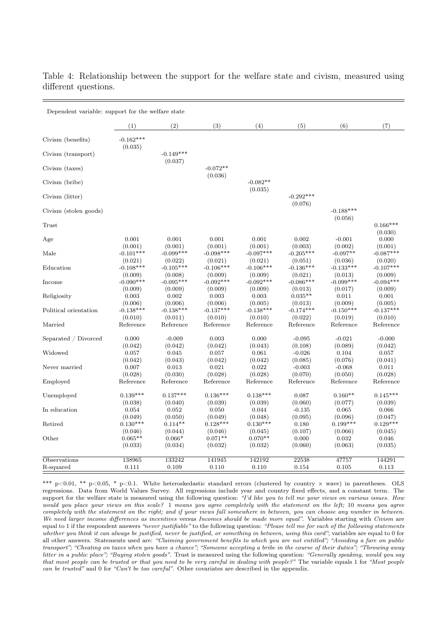|                       | (1)                    | (2)                  | (3)                   | (4)                  | (5)                  | (6)                  | (7)                  |
|-----------------------|------------------------|----------------------|-----------------------|----------------------|----------------------|----------------------|----------------------|
|                       |                        |                      |                       |                      |                      |                      |                      |
| Civism (benefits)     | $-0.162***$<br>(0.035) |                      |                       |                      |                      |                      |                      |
| Civism (transport)    |                        | $-0.149***$          |                       |                      |                      |                      |                      |
|                       |                        | (0.037)              |                       |                      |                      |                      |                      |
| $Civism$ (taxes)      |                        |                      | $-0.072**$<br>(0.036) |                      |                      |                      |                      |
| Civism (bribe)        |                        |                      |                       | $-0.082**$           |                      |                      |                      |
|                       |                        |                      |                       | (0.035)              |                      |                      |                      |
| Civism (litter)       |                        |                      |                       |                      | $-0.292***$          |                      |                      |
| Civism (stolen goods) |                        |                      |                       |                      | (0.076)              | $-0.188***$          |                      |
|                       |                        |                      |                       |                      |                      | (0.056)              |                      |
| Trust                 |                        |                      |                       |                      |                      |                      | $0.166***$           |
|                       |                        |                      |                       |                      |                      |                      | (0.030)              |
| Age                   | 0.001<br>(0.001)       | 0.001<br>(0.001)     | 0.001<br>(0.001)      | 0.001<br>(0.001)     | 0.002<br>(0.003)     | $-0.001$<br>(0.002)  | 0.000<br>(0.001)     |
| Male                  | $-0.101***$            | $-0.099***$          | $-0.098***$           | $-0.097***$          | $-0.205***$          | $-0.097**$           | $-0.087***$          |
|                       | (0.021)                | (0.022)              | (0.021)               | (0.021)              | (0.051)              | (0.036)              | (0.020)              |
| Education             | $-0.108***$            | $-0.105***$          | $-0.106***$           | $-0.106***$          | $-0.136***$          | $-0.133***$          | $-0.107***$          |
|                       | (0.009)                | (0.008)              | (0.009)               | (0.009)              | (0.021)              | (0.013)              | (0.009)              |
| Income                | $-0.090***$            | $-0.095***$          | $-0.092***$           | $-0.092***$          | $-0.086***$          | $-0.099***$          | $-0.094***$          |
| Religiosity           | (0.009)<br>0.003       | (0.009)<br>0.002     | (0.009)<br>0.003      | (0.009)<br>0.003     | (0.013)<br>$0.035**$ | (0.017)<br>0.011     | (0.009)<br>0.001     |
|                       | (0.006)                | (0.006)              | (0.006)               | (0.005)              | (0.013)              | (0.009)              | (0.005)              |
| Political orientation | $-0.138***$            | $-0.138***$          | $-0.137***$           | $-0.138***$          | $-0.174***$          | $-0.150***$          | $-0.137***$          |
|                       | (0.010)                | (0.011)              | (0.010)               | (0.010)              | (0.022)              | (0.019)              | (0.010)              |
| Married               | Reference              | Reference            | Reference             | Reference            | Reference            | Reference            | Reference            |
| Separated / Divorced  | 0.000                  | $-0.009$             | 0.003                 | 0.000                | $-0.095$             | $-0.021$             | $-0.000$             |
|                       | (0.042)                | (0.042)              | (0.042)               | (0.043)              | (0.108)              | (0.089)              | (0.042)              |
| Widowed               | 0.057                  | 0.045                | 0.057                 | 0.061                | $-0.026$             | 0.104                | 0.057                |
|                       | (0.042)                | (0.043)              | (0.042)               | (0.042)              | (0.085)              | (0.076)              | (0.041)              |
| Never married         | 0.007                  | 0.013                | 0.021                 | 0.022                | $-0.003$             | $-0.068$             | 0.011                |
| Employed              | (0.028)<br>Reference   | (0.030)<br>Reference | (0.028)<br>Reference  | (0.028)<br>Reference | (0.070)<br>Reference | (0.050)<br>Reference | (0.028)<br>Reference |
|                       |                        |                      |                       |                      |                      |                      |                      |
| Unemployed            | $0.139***$             | $0.137***$           | $0.136***$            | $0.138***$           | 0.087                | $0.160**$            | $0.145***$           |
|                       | (0.038)                | (0.040)              | (0.039)               | (0.039)              | (0.060)              | (0.077)              | (0.039)              |
| In education          | 0.054                  | 0.052                | 0.050                 | 0.044                | $-0.135$             | 0.065                | 0.066                |
|                       | (0.049)                | (0.050)              | (0.049)               | (0.048)              | (0.095)              | (0.096)              | (0.047)              |
| Retired               | $0.130***$             | $0.114**$            | $0.128***$            | $0.130***$           | 0.180                | $0.199***$           | $0.129***$           |
|                       | (0.046)                | (0.044)              | (0.046)               | (0.045)              | (0.107)              | (0.066)              | (0.045)              |
| Other                 | $0.065**$              | $0.066*$             | $0.071**$             | $0.070**$            | 0.000                | 0.032                | 0.046                |
|                       | (0.033)                | (0.034)              | (0.032)               | (0.032)              | (0.060)              | (0.063)              | (0.035)              |
| Observations          | 138965                 | 133242               | 141945                | 142192               | 22538                | 47757                | 144291               |
| R-squared             | 0.111                  | 0.109                | 0.110                 | 0.110                | 0.154                | 0.105                | 0.113                |

<span id="page-25-0"></span>Table 4: Relationship between the support for the welfare state and civism, measured using different questions.

\*\*\* p<0.01, \*\* p<0.05, \* p<0.1. White heteroskedastic standard errors (clustered by country  $\times$  wave) in parentheses. OLS regressions. Data from World Values Survey. All regressions include year and country fixed effects, and a constant term. The support for the welfare state is measured using the following question: "I'd like you to tell me your views on various issues. How would you place your views on this scale? 1 means you agree completely with the statement on the left; 10 means you agree completely with the statement on the right; and if your views fall somewhere in between, you can choose any number in between. We need larger income differences as incentives versus Incomes should be made more equal". Variables starting with Civism are equal to 1 if the respondent answers "never justifiable" to the following question: "Please tell me for each of the following statements whether you think it can always be justified, never be justified, or something in between, using this card"; variables are equal to 0 for all other answers. Statements used are: "Claiming government benefits to which you are not entitled"; "Avoiding a fare on public transport"; "Cheating on taxes when you have a chance"; "Someone accepting a bribe in the course of their duties"; "Throwing away litter in a public place"; "Buying stolen goods". Trust is measured using the following question: "Generally speaking, would you say that most people can be trusted or that you need to be very careful in dealing with people?" The variable equals 1 for "Most people can be trusted" and 0 for "Can't be too careful". Other covariates are described in the appendix.